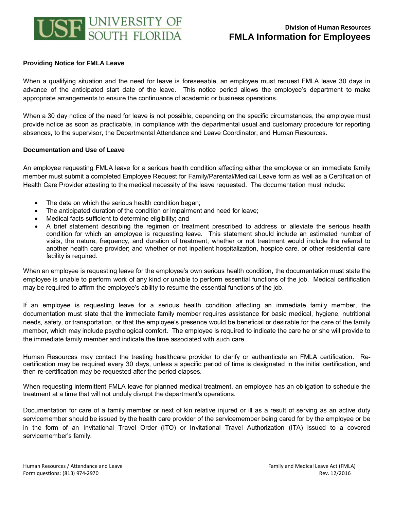

## **Providing Notice for FMLA Leave**

When a qualifying situation and the need for leave is foreseeable, an employee must request FMLA leave 30 days in advance of the anticipated start date of the leave. This notice period allows the employee's department to make appropriate arrangements to ensure the continuance of academic or business operations.

When a 30 day notice of the need for leave is not possible, depending on the specific circumstances, the employee must provide notice as soon as practicable, in compliance with the departmental usual and customary procedure for reporting absences, to the supervisor, the Departmental Attendance and Leave Coordinator, and Human Resources.

## **Documentation and Use of Leave**

An employee requesting FMLA leave for a serious health condition affecting either the employee or an immediate family member must submit a completed Employee Request for Family/Parental/Medical Leave form as well as a Certification of Health Care Provider attesting to the medical necessity of the leave requested. The documentation must include:

- The date on which the serious health condition began;
- The anticipated duration of the condition or impairment and need for leave;
- Medical facts sufficient to determine eligibility; and
- A brief statement describing the regimen or treatment prescribed to address or alleviate the serious health condition for which an employee is requesting leave. This statement should include an estimated number of visits, the nature, frequency, and duration of treatment; whether or not treatment would include the referral to another health care provider; and whether or not inpatient hospitalization, hospice care, or other residential care facility is required.

When an employee is requesting leave for the employee's own serious health condition, the documentation must state the employee is unable to perform work of any kind or unable to perform essential functions of the job. Medical certification may be required to affirm the employee's ability to resume the essential functions of the job.

If an employee is requesting leave for a serious health condition affecting an immediate family member, the documentation must state that the immediate family member requires assistance for basic medical, hygiene, nutritional needs, safety, or transportation, or that the employee's presence would be beneficial or desirable for the care of the family member, which may include psychological comfort. The employee is required to indicate the care he or she will provide to the immediate family member and indicate the time associated with such care.

Human Resources may contact the treating healthcare provider to clarify or authenticate an FMLA certification. Recertification may be required every 30 days, unless a specific period of time is designated in the initial certification, and then re-certification may be requested after the period elapses.

When requesting intermittent FMLA leave for planned medical treatment, an employee has an obligation to schedule the treatment at a time that will not unduly disrupt the department's operations.

Documentation for care of a family member or next of kin relative injured or ill as a result of serving as an active duty servicemember should be issued by the health care provider of the servicemember being cared for by the employee or be in the form of an Invitational Travel Order (ITO) or Invitational Travel Authorization (ITA) issued to a covered servicemember's family.